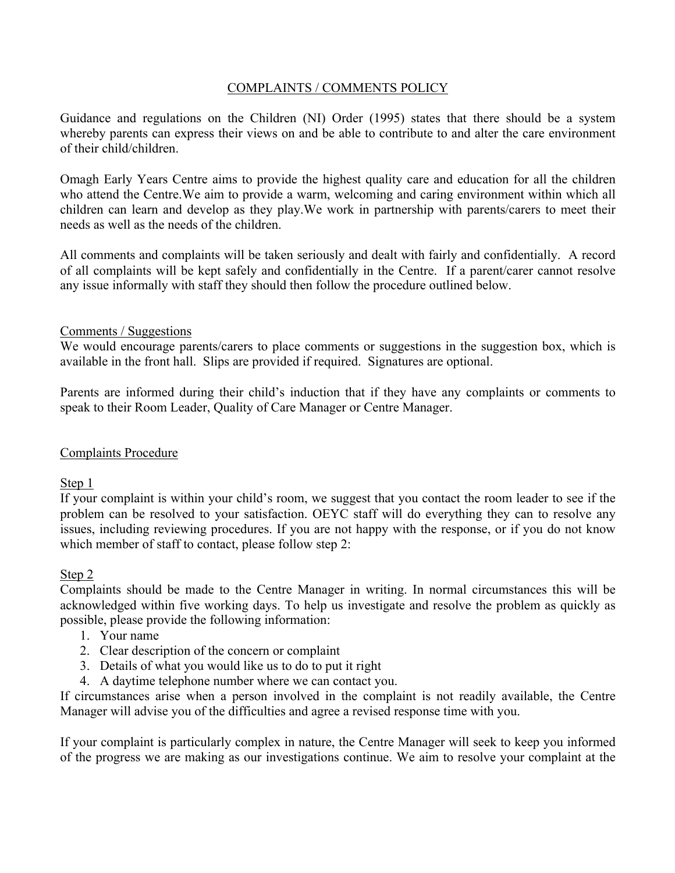## COMPLAINTS / COMMENTS POLICY

Guidance and regulations on the Children (NI) Order (1995) states that there should be a system whereby parents can express their views on and be able to contribute to and alter the care environment of their child/children.

Omagh Early Years Centre aims to provide the highest quality care and education for all the children who attend the Centre.We aim to provide a warm, welcoming and caring environment within which all children can learn and develop as they play.We work in partnership with parents/carers to meet their needs as well as the needs of the children.

All comments and complaints will be taken seriously and dealt with fairly and confidentially. A record of all complaints will be kept safely and confidentially in the Centre. If a parent/carer cannot resolve any issue informally with staff they should then follow the procedure outlined below.

## Comments / Suggestions

We would encourage parents/carers to place comments or suggestions in the suggestion box, which is available in the front hall. Slips are provided if required. Signatures are optional.

Parents are informed during their child's induction that if they have any complaints or comments to speak to their Room Leader, Quality of Care Manager or Centre Manager.

## Complaints Procedure

Step 1

If your complaint is within your child's room, we suggest that you contact the room leader to see if the problem can be resolved to your satisfaction. OEYC staff will do everything they can to resolve any issues, including reviewing procedures. If you are not happy with the response, or if you do not know which member of staff to contact, please follow step 2:

## Step 2

Complaints should be made to the Centre Manager in writing. In normal circumstances this will be acknowledged within five working days. To help us investigate and resolve the problem as quickly as possible, please provide the following information:

- 1. Your name
- 2. Clear description of the concern or complaint
- 3. Details of what you would like us to do to put it right
- 4. A daytime telephone number where we can contact you.

If circumstances arise when a person involved in the complaint is not readily available, the Centre Manager will advise you of the difficulties and agree a revised response time with you.

If your complaint is particularly complex in nature, the Centre Manager will seek to keep you informed of the progress we are making as our investigations continue. We aim to resolve your complaint at the